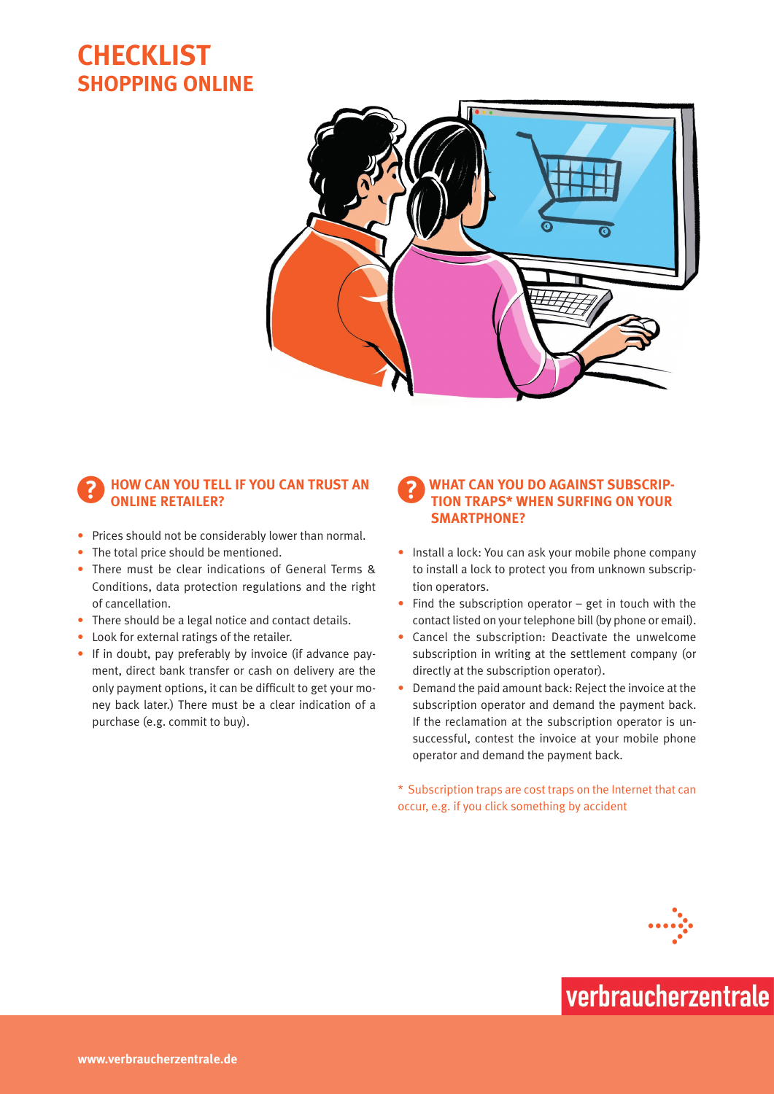## **Checklist SHOPPING ONLINE**



#### ?**How can you tell if you can trust an online retailer?**

- Prices should not be considerably lower than normal.
- The total price should be mentioned.
- There must be clear indications of General Terms & Conditions, data protection regulations and the right of cancellation.
- There should be a legal notice and contact details.
- • Look for external ratings of the retailer.
- If in doubt, pay preferably by invoice (if advance payment, direct bank transfer or cash on delivery are the only payment options, it can be difficult to get your money back later.) There must be a clear indication of a purchase (e.g. commit to buy).

#### **WHAT CAN YOU DO AGAINST SUBSCRIPtion traps\* when surfing on your smartphone?**

- Install a lock: You can ask your mobile phone company to install a lock to protect you from unknown subscription operators.
- $\bullet$  Find the subscription operator get in touch with the contact listed on your telephone bill (by phone or email).
- Cancel the subscription: Deactivate the unwelcome subscription in writing at the settlement company (or directly at the subscription operator).
- Demand the paid amount back: Reject the invoice at the subscription operator and demand the payment back. If the reclamation at the subscription operator is unsuccessful, contest the invoice at your mobile phone operator and demand the payment back.

\* Subscription traps are cost traps on the Internet that can occur, e.g. if you click something by accident